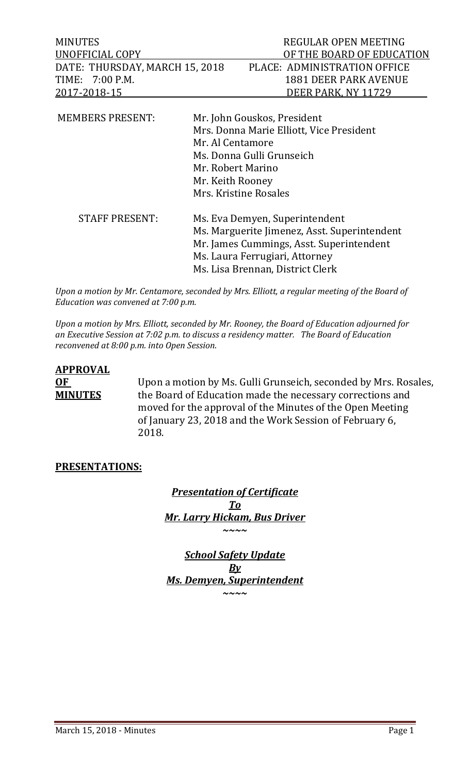| MINUTES                        | REGULAR OPEN MEETING         |
|--------------------------------|------------------------------|
| UNOFFICIAL COPY                | OF THE BOARD OF EDUCATION    |
| DATE: THURSDAY, MARCH 15, 2018 | PLACE: ADMINISTRATION OFFICE |
| TIME: 7:00 P.M.                | 1881 DEER PARK AVENUE        |
| 2017-2018-15                   | DEER PARK, NY 11729          |
|                                |                              |

| <b>MEMBERS PRESENT:</b> | Mr. John Gouskos, President<br>Mrs. Donna Marie Elliott, Vice President<br>Mr. Al Centamore<br>Ms. Donna Gulli Grunseich<br>Mr. Robert Marino<br>Mr. Keith Rooney<br>Mrs. Kristine Rosales       |
|-------------------------|--------------------------------------------------------------------------------------------------------------------------------------------------------------------------------------------------|
| <b>STAFF PRESENT:</b>   | Ms. Eva Demyen, Superintendent<br>Ms. Marguerite Jimenez, Asst. Superintendent<br>Mr. James Cummings, Asst. Superintendent<br>Ms. Laura Ferrugiari, Attorney<br>Ms. Lisa Brennan, District Clerk |

*Upon a motion by Mr. Centamore, seconded by Mrs. Elliott, a regular meeting of the Board of Education was convened at 7:00 p.m.*

*Upon a motion by Mrs. Elliott, seconded by Mr. Rooney, the Board of Education adjourned for an Executive Session at 7:02 p.m. to discuss a residency matter. The Board of Education reconvened at 8:00 p.m. into Open Session.* 

# **APPROVAL**

**OF** Upon a motion by Ms. Gulli Grunseich, seconded by Mrs. Rosales,<br>**MINUTES** the Board of Education made the necessary corrections and the Board of Education made the necessary corrections and moved for the approval of the Minutes of the Open Meeting of January 23, 2018 and the Work Session of February 6, 2018.

# **PRESENTATIONS:**

*Presentation of Certificate To Mr. Larry Hickam, Bus Driver ~~~~*

*School Safety Update By Ms. Demyen, Superintendent ~~~~*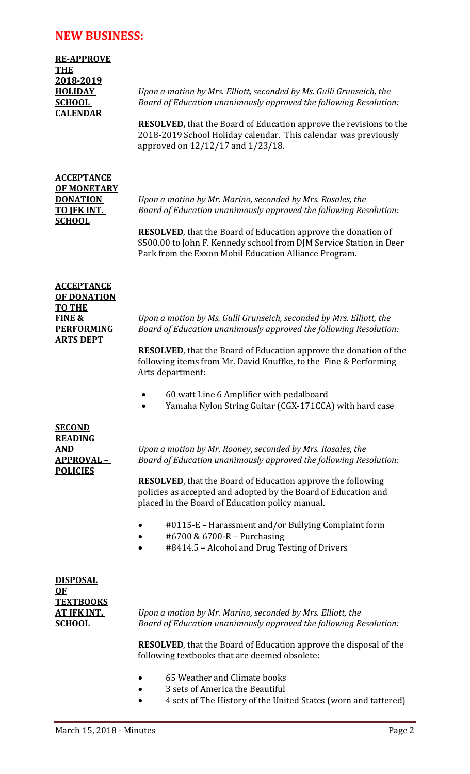# **NEW BUSINESS:**

**RE-APPROVE THE 2018-2019 CALENDAR**

**HOLIDAY** *Upon a motion by Mrs. Elliott, seconded by Ms. Gulli Grunseich, the*  **SCHOOL** *Board of Education unanimously approved the following Resolution:*

> **RESOLVED,** that the Board of Education approve the revisions to the 2018-2019 School Holiday calendar. This calendar was previously approved on 12/12/17 and 1/23/18.

# **ACCEPTANCE OF MONETARY SCHOOL**

**DONATION** *Upon a motion by Mr. Marino, seconded by Mrs. Rosales, the*  **TO JFK INT.** *Board of Education unanimously approved the following Resolution:*

> **RESOLVED**, that the Board of Education approve the donation of \$500.00 to John F. Kennedy school from DJM Service Station in Deer Park from the Exxon Mobil Education Alliance Program.

| <b>ACCEPTANCE</b>  |
|--------------------|
| <b>OF DONATION</b> |
| TO THE             |
| FINE &             |
| <b>PERFORMING</b>  |
| <b>ARTS DEPT</b>   |

**FINE &** *Upon a motion by Ms. Gulli Grunseich, seconded by Mrs. Elliott, the* **Board of Education unanimously approved the following Resolution:** 

**RESOLVED**, that the Board of Education approve the donation of the following items from Mr. David Knuffke, to the Fine & Performing Arts department:

- 60 watt Line 6 Amplifier with pedalboard
- Yamaha Nylon String Guitar (CGX-171CCA) with hard case

| <b>SECOND</b>    |
|------------------|
| <b>READING</b>   |
| <u>AND</u>       |
| <b>APPROVAL-</b> |
| <b>POLICIES</b>  |

**AND** *Upon a motion by Mr. Rooney, seconded by Mrs. Rosales, the*  **Board of Education unanimously approved the following Resolution:** 

**RESOLVED**, that the Board of Education approve the following policies as accepted and adopted by the Board of Education and placed in the Board of Education policy manual.

- #0115-E Harassment and/or Bullying Complaint form
- #6700 & 6700-R Purchasing
- #8414.5 Alcohol and Drug Testing of Drivers

| <b>DISPOSAL</b>    |
|--------------------|
| OF                 |
| <b>TEXTBOOKS</b>   |
| <u>AT IFK INT.</u> |
| <b>SCHOOL</b>      |

**AT JFK INT.** *Upon a motion by Mr. Marino, seconded by Mrs. Elliott, the*  **Board of Education unanimously approved the following Resolution:** 

**RESOLVED**, that the Board of Education approve the disposal of the following textbooks that are deemed obsolete:

- 65 Weather and Climate books
	- 3 sets of America the Beautiful
- 4 sets of The History of the United States (worn and tattered)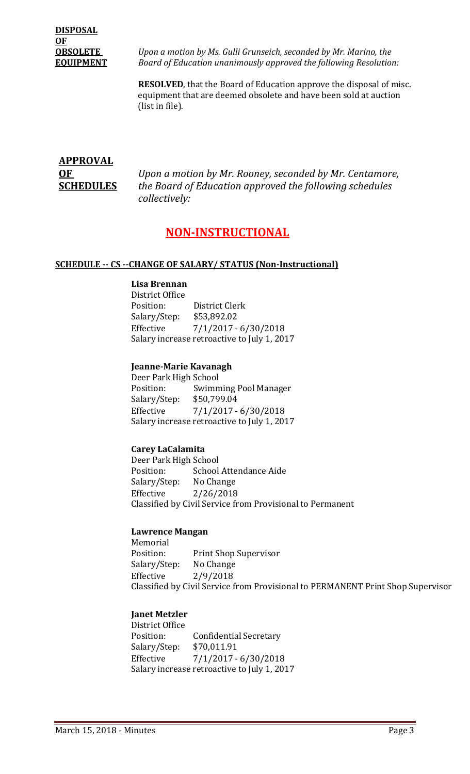# **DISPOSAL OF**

**OBSOLETE** *Upon a motion by Ms. Gulli Grunseich, seconded by Mr. Marino, the*  **EQUIPMENT** *Board of Education unanimously approved the following Resolution:*

> **RESOLVED**, that the Board of Education approve the disposal of misc. equipment that are deemed obsolete and have been sold at auction (list in file).

# **APPROVAL**

**OF** *Upon a motion by Mr. Rooney, seconded by Mr. Centamore,* **SCHEDULES** *the Board of Education approved the following schedules collectively:*

# **NON-INSTRUCTIONAL**

#### **SCHEDULE -- CS --CHANGE OF SALARY/ STATUS (Non-Instructional)**

#### **Lisa Brennan**

District Office District Clerk<br>\$53,892.02 Salary/Step:<br>Effective  $7/1/2017 - 6/30/2018$ Salary increase retroactive to July 1, 2017

#### **Jeanne-Marie Kavanagh**

Deer Park High School<br>Position: Swimm Swimming Pool Manager<br>\$50,799.04 Salary/Step:<br>Effective  $7/1/2017 - 6/30/2018$ Salary increase retroactive to July 1, 2017

#### **Carey LaCalamita**

Deer Park High School<br>Position: School School Attendance Aide<br>No Change Salary/Step: Effective 2/26/2018 Classified by Civil Service from Provisional to Permanent

#### **Lawrence Mangan**

Memorial<br>Position: Print Shop Supervisor<br>No Change Salary/Step:<br>Effective Effective 2/9/2018 Classified by Civil Service from Provisional to PERMANENT Print Shop Supervisor

#### **Janet Metzler**

District Office Confidential Secretary<br>\$70,011.91 Salary/Step:<br>Effective  $7/1/2017 - 6/30/2018$ Salary increase retroactive to July 1, 2017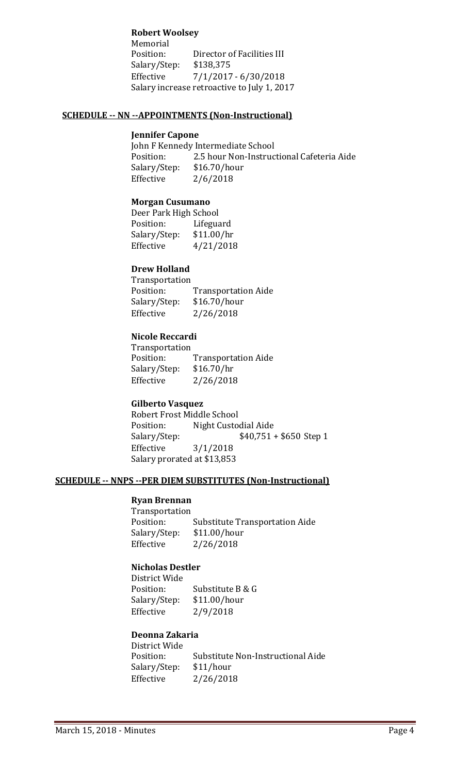#### **Robert Woolsey**

Memorial<br>Position: Director of Facilities III<br>\$138,375 Salary/Step:<br>Effective  $7/1/2017 - 6/30/2018$ Salary increase retroactive to July 1, 2017

#### **SCHEDULE -- NN --APPOINTMENTS (Non-Instructional)**

#### **Jennifer Capone**

John F Kennedy Intermediate School<br>Position: 2.5 hour Non-Instruc 2.5 hour Non-Instructional Cafeteria Aide<br>\$16.70/hour Salary/Step:<br>Effective  $2/6/2018$ 

#### **Morgan Cusumano**

Deer Park High School<br>Position: Lifegua Lifeguard<br>\$11.00/hr Salary/Step:<br>Effective Effective 4/21/2018

#### **Drew Holland**

Transportation<br>Position: Transportation Aide<br>\$16.70/hour Salary/Step:<br>Effective Effective 2/26/2018

#### **Nicole Reccardi**

Transportation<br>Position: Transportation Aide<br>\$16.70/hr Salary/Step:<br>Effective  $2/26/2018$ 

#### **Gilberto Vasquez**

Robert Frost Middle School Position: Night Custodial Aide<br>Salary/Step: \$40,751  $$40,751 + $650$  Step 1 Effective 3/1/2018 Salary prorated at \$13,853

#### **SCHEDULE -- NNPS --PER DIEM SUBSTITUTES (Non-Instructional)**

# **Ryan Brennan**

Transportation Substitute Transportation Aide<br>\$11.00/hour Salary/Step:<br>Effective Effective 2/26/2018

#### **Nicholas Destler**

District Wide Substitute B & G<br>\$11.00/hour Salary/Step:<br>Effective Effective 2/9/2018

#### **Deonna Zakaria**

District Wide Substitute Non-Instructional Aide<br>\$11/hour Salary/Step:<br>Effective  $2/26/2018$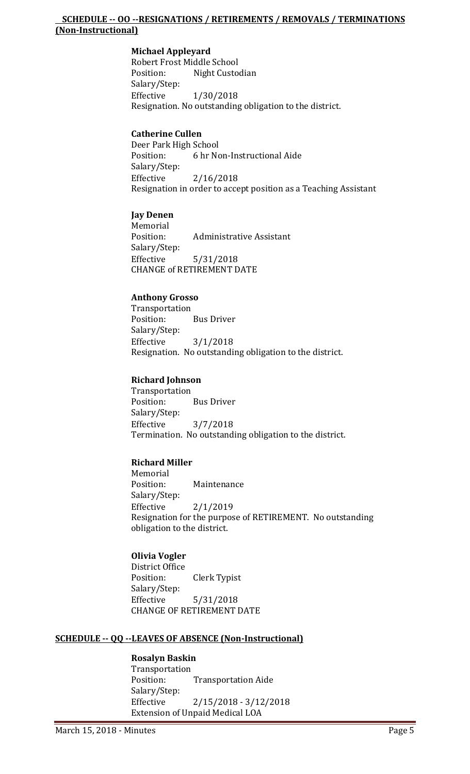#### **SCHEDULE -- OO --RESIGNATIONS / RETIREMENTS / REMOVALS / TERMINATIONS (Non-Instructional)**

#### **Michael Appleyard**

Robert Frost Middle School<br>Position: Night Custo Night Custodian Salary/Step: Effective 1/30/2018 Resignation. No outstanding obligation to the district.

#### **Catherine Cullen**

Deer Park High School<br>Position: 6 hr No 6 hr Non-Instructional Aide Salary/Step:<br>Effective  $2/16/2018$ Resignation in order to accept position as a Teaching Assistant

#### **Jay Denen**

Memorial<br>Position: Administrative Assistant Salary/Step:<br>Effective Effective 5/31/2018 CHANGE of RETIREMENT DATE

#### **Anthony Grosso**

Transportation **Bus Driver** Salary/Step:<br>Effective  $3/1/2018$ Resignation. No outstanding obligation to the district.

#### **Richard Johnson**

Transportation<br>Position: **Bus Driver** Salary/Step: Effective 3/7/2018 Termination. No outstanding obligation to the district.

#### **Richard Miller**

Memorial<br>Position: Maintenance Salary/Step:  $2/1/2019$ Resignation for the purpose of RETIREMENT. No outstanding obligation to the district.

#### **Olivia Vogler**

District Office **Clerk Typist** Salary/Step: Effective 5/31/2018 CHANGE OF RETIREMENT DATE

#### **SCHEDULE -- QQ --LEAVES OF ABSENCE (Non-Instructional)**

#### **Rosalyn Baskin**

Transportation<br>Position: **Transportation Aide** Salary/Step:<br>Effective  $2/15/2018 - 3/12/2018$ Extension of Unpaid Medical LOA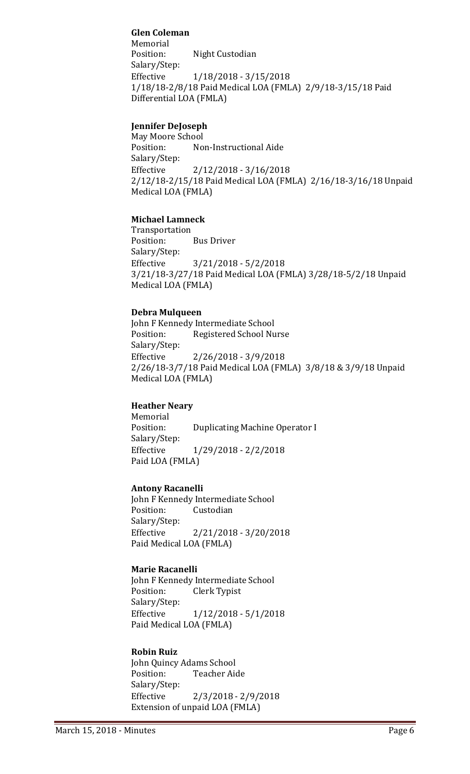# **Glen Coleman**

Memorial<br>Position: Night Custodian Salary/Step: Effective 1/18/2018 - 3/15/2018 1/18/18-2/8/18 Paid Medical LOA (FMLA) 2/9/18-3/15/18 Paid Differential LOA (FMLA)

#### **Jennifer DeJoseph**

May Moore School<br>Position: No Non-Instructional Aide Salary/Step:<br>Effective  $2/12/2018 - 3/16/2018$ 2/12/18-2/15/18 Paid Medical LOA (FMLA) 2/16/18-3/16/18 Unpaid Medical LOA (FMLA)

#### **Michael Lamneck**

Transportation<br>Position: **Bus Driver** Salary/Step: Effective 3/21/2018 - 5/2/2018 3/21/18-3/27/18 Paid Medical LOA (FMLA) 3/28/18-5/2/18 Unpaid Medical LOA (FMLA)

#### **Debra Mulqueen**

John F Kennedy Intermediate School<br>Position: Registered School Nu Registered School Nurse Salary/Step:  $2/26/2018 - 3/9/2018$ 2/26/18-3/7/18 Paid Medical LOA (FMLA) 3/8/18 & 3/9/18 Unpaid Medical LOA (FMLA)

#### **Heather Neary**

Memorial<br>Position: Duplicating Machine Operator I Salary/Step: Effective 1/29/2018 - 2/2/2018 Paid LOA (FMLA)

#### **Antony Racanelli**

John F Kennedy Intermediate School<br>Position: Custodian Custodian Salary/Step:<br>Effective  $2/21/2018 - 3/20/2018$ Paid Medical LOA (FMLA)

#### **Marie Racanelli**

John F Kennedy Intermediate School Clerk Typist Salary/Step: Effective 1/12/2018 - 5/1/2018 Paid Medical LOA (FMLA)

#### **Robin Ruiz**

John Quincy Adams School<br>Position: Teacher Aid Teacher Aide Salary/Step:<br>Effective  $2/3/2018 - 2/9/2018$ Extension of unpaid LOA (FMLA)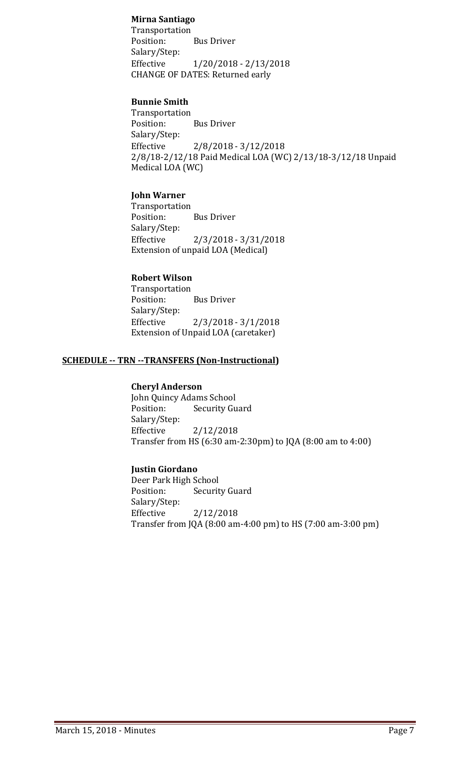#### **Mirna Santiago**

Transportation **Bus Driver** Salary/Step:<br>Effective Effective 1/20/2018 - 2/13/2018 CHANGE OF DATES: Returned early

#### **Bunnie Smith**

Transportation<br>Position: **Bus Driver** Salary/Step:<br>Effective  $2/8/2018 - 3/12/2018$ 2/8/18-2/12/18 Paid Medical LOA (WC) 2/13/18-3/12/18 Unpaid Medical LOA (WC)

#### **John Warner**

Transportation<br>Position: **Bus Driver** Salary/Step:  $2/3/2018 - 3/31/2018$ Extension of unpaid LOA (Medical)

# **Robert Wilson**

Transportation **Bus Driver** Salary/Step:  $2/3/2018 - 3/1/2018$ Extension of Unpaid LOA (caretaker)

#### **SCHEDULE -- TRN --TRANSFERS (Non-Instructional)**

#### **Cheryl Anderson**

John Quincy Adams School<br>Position: Security Gu **Security Guard** Salary/Step:<br>Effective Effective 2/12/2018 Transfer from HS (6:30 am-2:30pm) to JQA (8:00 am to 4:00)

#### **Justin Giordano**

Deer Park High School<br>Position: Securit **Security Guard** Salary/Step:<br>Effective Effective 2/12/2018 Transfer from JQA (8:00 am-4:00 pm) to HS (7:00 am-3:00 pm)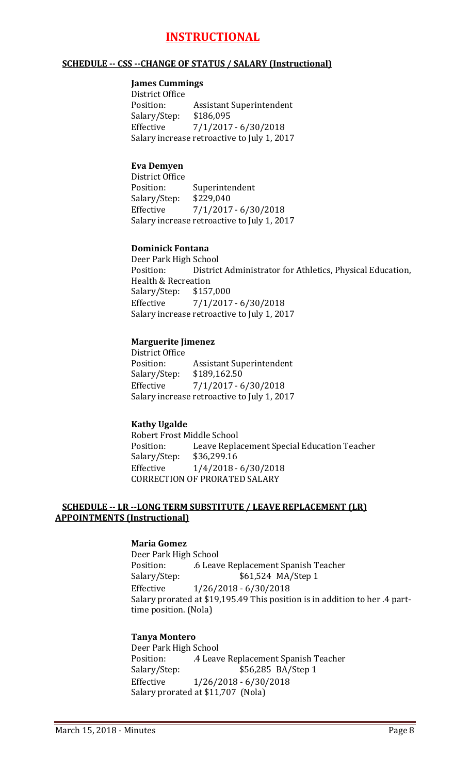# **INSTRUCTIONAL**

#### **SCHEDULE -- CSS --CHANGE OF STATUS / SALARY (Instructional)**

# **James Cummings**

District Office<br>Position: Assistant Superintendent<br>\$186,095 Salary/Step:<br>Effective  $7/1/2017 - 6/30/2018$ Salary increase retroactive to July 1, 2017

#### **Eva Demyen**

District Office Superintendent<br>\$229,040 Salary/Step:<br>Effective Effective 7/1/2017 - 6/30/2018 Salary increase retroactive to July 1, 2017

#### **Dominick Fontana**

Deer Park High School<br>Position: District District Administrator for Athletics, Physical Education, Health & Recreation<br>Salary/Step: \$157,000 Salary/Step:<br>Effective  $7/1/2017 - 6/30/2018$ Salary increase retroactive to July 1, 2017

#### **Marguerite Jimenez**

District Office<br>Position: Assistant Superintendent<br>\$189,162.50 Salary/Step:<br>Effective  $7/1/2017 - 6/30/2018$ Salary increase retroactive to July 1, 2017

#### **Kathy Ugalde**

Robert Frost Middle School<br>Position: Leave Repla Leave Replacement Special Education Teacher \$36,299.16 Salary/Step:<br>Effective  $1/4/2018 - 6/30/2018$ CORRECTION OF PRORATED SALARY

#### **SCHEDULE -- LR --LONG TERM SUBSTITUTE / LEAVE REPLACEMENT (LR) APPOINTMENTS (Instructional)**

#### **Maria Gomez**

Deer Park High School Position: .6 Leave Replacement Spanish Teacher<br>Salary/Step: .6 .6 .6 .524 MA/Step 1 \$61,524 MA/Step 1 Effective 1/26/2018 - 6/30/2018 Salary prorated at \$19,195.49 This position is in addition to her .4 parttime position. (Nola)

#### **Tanya Montero**

Deer Park High School<br>Position: 4 Leav Position: .4 Leave Replacement Spanish Teacher<br>Salary/Step: \$56,285 BA/Step 1 \$56,285 BA/Step 1 Effective 1/26/2018 - 6/30/2018 Salary prorated at \$11,707 (Nola)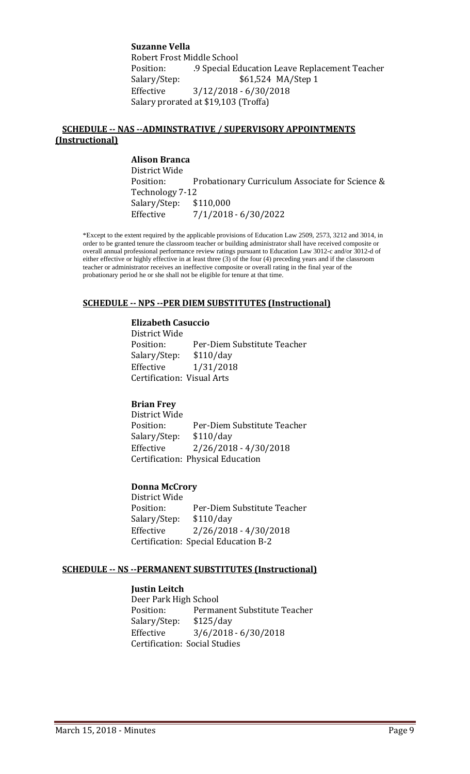**Suzanne Vella** Robert Frost Middle School<br>Position: 9 Special Eq Position: .9 Special Education Leave Replacement Teacher \$61,524 MA/Step 1 Effective 3/12/2018 - 6/30/2018 Salary prorated at \$19,103 (Troffa)

#### **SCHEDULE -- NAS --ADMINSTRATIVE / SUPERVISORY APPOINTMENTS (Instructional)**

**Alison Branca** District Wide Probationary Curriculum Associate for Science & Technology 7-12<br>Salary/Step: \$110,000 Salary/Step: Effective 7/1/2018 - 6/30/2022

\*Except to the extent required by the applicable provisions of Education Law 2509, 2573, 3212 and 3014, in order to be granted tenure the classroom teacher or building administrator shall have received composite or overall annual professional performance review ratings pursuant to Education Law 3012-c and/or 3012-d of either effective or highly effective in at least three (3) of the four (4) preceding years and if the classroom teacher or administrator receives an ineffective composite or overall rating in the final year of the probationary period he or she shall not be eligible for tenure at that time.

#### **SCHEDULE -- NPS --PER DIEM SUBSTITUTES (Instructional)**

#### **Elizabeth Casuccio**

District Wide Per-Diem Substitute Teacher<br>\$110/day Salary/Step:<br>Effective Effective 1/31/2018 Certification: Visual Arts

#### **Brian Frey**

District Wide Per-Diem Substitute Teacher<br>\$110/day Salary/Step:<br>Effective  $2/26/2018 - 4/30/2018$ Certification: Physical Education

#### **Donna McCrory**

District Wide Per-Diem Substitute Teacher<br>\$110/day Salary/Step: Effective 2/26/2018 - 4/30/2018 Certification: Special Education B-2

#### **SCHEDULE -- NS --PERMANENT SUBSTITUTES (Instructional)**

#### **Justin Leitch**

Deer Park High School<br>Position: Permai Permanent Substitute Teacher<br>\$125/day Salary/Step:<br>Effective  $3/6/2018 - 6/30/2018$ Certification: Social Studies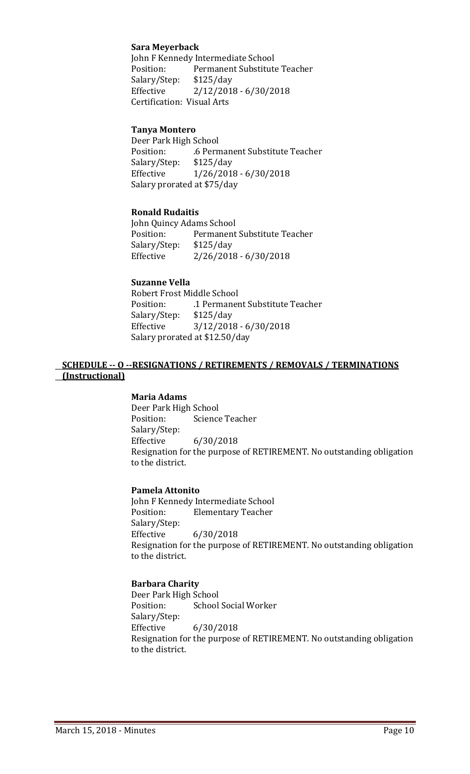#### **Sara Meyerback**

John F Kennedy Intermediate School<br>Position: Permanent Substitute Permanent Substitute Teacher<br>\$125/day Salary/Step:<br>Effective  $2/12/2018 - 6/30/2018$ Certification: Visual Arts

#### **Tanya Montero**

Deer Park High School .6 Permanent Substitute Teacher<br>\$125/day Salary/Step:<br>Effective Effective 1/26/2018 - 6/30/2018 Salary prorated at \$75/day

#### **Ronald Rudaitis**

John Quincy Adams School<br>Position: Permanent Permanent Substitute Teacher<br>\$125/day Salary/Step:<br>Effective  $2/26/2018 - 6/30/2018$ 

#### **Suzanne Vella**

Robert Frost Middle School .1 Permanent Substitute Teacher<br>\$125/day Salary/Step:<br>Effective  $3/12/2018 - 6/30/2018$ Salary prorated at \$12.50/day

#### **SCHEDULE -- O --RESIGNATIONS / RETIREMENTS / REMOVALS / TERMINATIONS (Instructional)**

#### **Maria Adams**

Deer Park High School<br>Position: Science Science Teacher Salary/Step:<br>Effective Effective 6/30/2018 Resignation for the purpose of RETIREMENT. No outstanding obligation to the district.

#### **Pamela Attonito**

John F Kennedy Intermediate School<br>Position: Elementary Teacher **Elementary Teacher** Salary/Step: Effective 6/30/2018 Resignation for the purpose of RETIREMENT. No outstanding obligation to the district.

#### **Barbara Charity**

Deer Park High School<br>Position: School School Social Worker Salary/Step:  $6/30/2018$ Resignation for the purpose of RETIREMENT. No outstanding obligation to the district.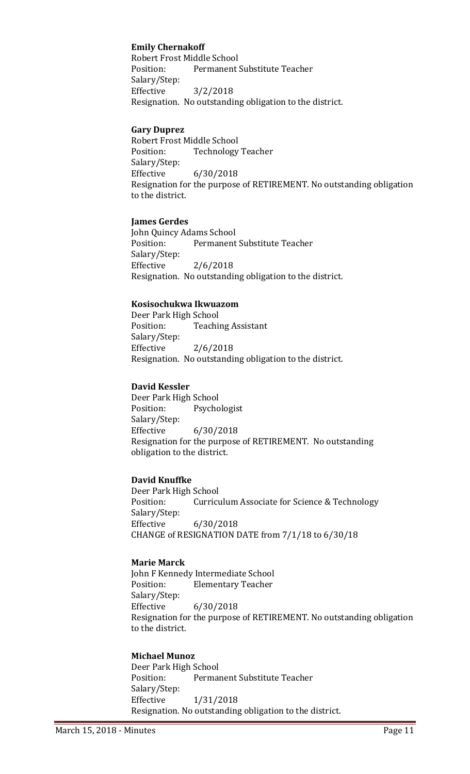# **Emily Chernakoff**

Robert Frost Middle School<br>Position: Permanent Permanent Substitute Teacher Salary/Step: Effective 3/2/2018 Resignation. No outstanding obligation to the district.

#### **Gary Duprez**

Robert Frost Middle School<br>Position: Technology Technology Teacher Salary/Step: Effective 6/30/2018 Resignation for the purpose of RETIREMENT. No outstanding obligation to the district.

#### **James Gerdes**

John Quincy Adams School<br>Position: Permanent Permanent Substitute Teacher Salary/Step:<br>Effective  $2/6/2018$ Resignation. No outstanding obligation to the district.

#### **Kosisochukwa Ikwuazom**

Deer Park High School<br>Position: Teachi **Teaching Assistant** Salary/Step: Effective 2/6/2018 Resignation. No outstanding obligation to the district.

#### **David Kessler**

Deer Park High School<br>Position: Psycho Psychologist Salary/Step:<br>Effective Effective 6/30/2018 Resignation for the purpose of RETIREMENT. No outstanding obligation to the district.

#### **David Knuffke**

Deer Park High School<br>Position: Curricu Curriculum Associate for Science & Technology Salary/Step:<br>Effective  $6/30/2018$ CHANGE of RESIGNATION DATE from 7/1/18 to 6/30/18

#### **Marie Marck**

John F Kennedy Intermediate School<br>Position: Elementary Teacher **Elementary Teacher** Salary/Step: Effective 6/30/2018 Resignation for the purpose of RETIREMENT. No outstanding obligation to the district.

#### **Michael Munoz**

Deer Park High School<br>Position: Perma Permanent Substitute Teacher Salary/Step: Effective 1/31/2018 Resignation. No outstanding obligation to the district.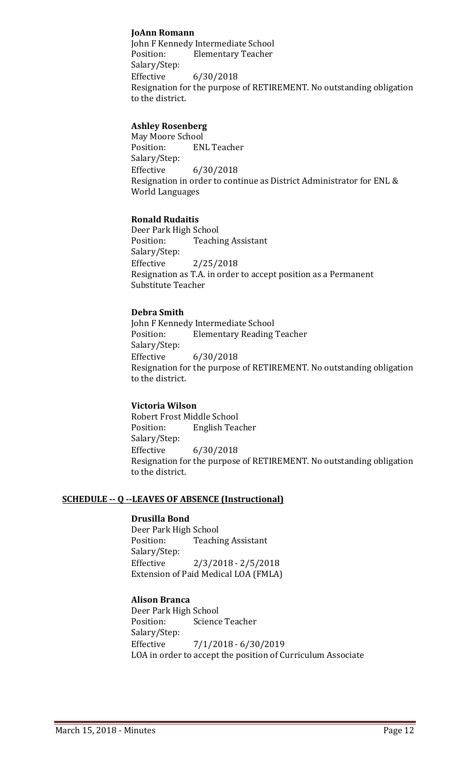#### **JoAnn Romann**

John F Kennedy Intermediate School **Elementary Teacher** Salary/Step: Effective 6/30/2018 Resignation for the purpose of RETIREMENT. No outstanding obligation to the district.

#### **Ashley Rosenberg**

May Moore School<br>Position: EN **ENL Teacher** Salary/Step:<br>Effective  $6/30/2018$ Resignation in order to continue as District Administrator for ENL & World Languages

#### **Ronald Rudaitis**

Deer Park High School<br>Position: Teachi **Teaching Assistant** Salary/Step:<br>Effective  $2/25/2018$ Resignation as T.A. in order to accept position as a Permanent Substitute Teacher

#### **Debra Smith**

John F Kennedy Intermediate School<br>Position: Elementary Reading **Elementary Reading Teacher** Salary/Step:<br>Effective Effective 6/30/2018 Resignation for the purpose of RETIREMENT. No outstanding obligation to the district.

#### **Victoria Wilson**

Robert Frost Middle School<br>Position: English Tea **English Teacher** Salary/Step: Effective 6/30/2018 Resignation for the purpose of RETIREMENT. No outstanding obligation to the district.

#### **SCHEDULE -- Q --LEAVES OF ABSENCE (Instructional)**

#### **Drusilla Bond**

Deer Park High School<br>Position: Teachii **Teaching Assistant** Salary/Step: Effective 2/3/2018 - 2/5/2018 Extension of Paid Medical LOA (FMLA)

#### **Alison Branca**

Deer Park High School<br>Position: Science Science Teacher Salary/Step: Effective 7/1/2018 - 6/30/2019 LOA in order to accept the position of Curriculum Associate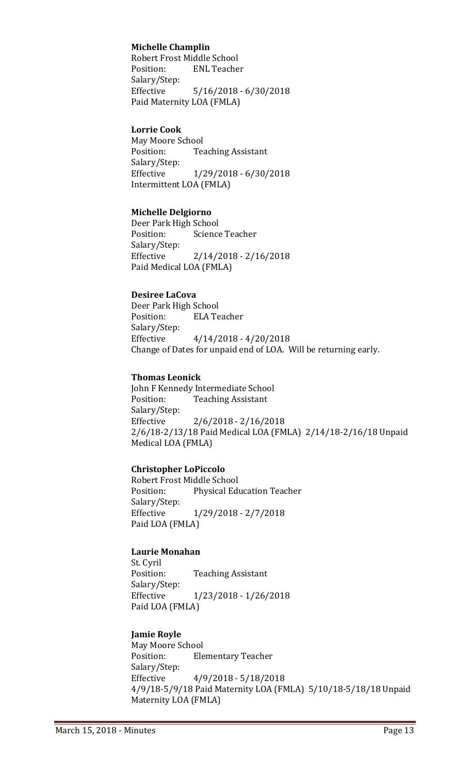#### **Michelle Champlin**

Robert Frost Middle School<br>Position: ENL Teache **ENL Teacher** Salary/Step: Effective 5/16/2018 - 6/30/2018 Paid Maternity LOA (FMLA)

#### **Lorrie Cook**

May Moore School<br>Position: Tea **Teaching Assistant** Salary/Step: Effective 1/29/2018 - 6/30/2018 Intermittent LOA (FMLA)

#### **Michelle Delgiorno**

Deer Park High School<br>Position: Science Science Teacher Salary/Step: Effective 2/14/2018 - 2/16/2018 Paid Medical LOA (FMLA)

#### **Desiree LaCova**

Deer Park High School<br>Position: ELA Te **ELA Teacher** Salary/Step: Effective 4/14/2018 - 4/20/2018 Change of Dates for unpaid end of LOA. Will be returning early.

#### **Thomas Leonick**

John F Kennedy Intermediate School<br>Position: Teaching Assistant **Teaching Assistant** Salary/Step:  $2/6/2018 - 2/16/2018$ 2/6/18-2/13/18 Paid Medical LOA (FMLA) 2/14/18-2/16/18 Unpaid Medical LOA (FMLA)

#### **Christopher LoPiccolo**

Robert Frost Middle School<br>Position: Physical Edi Physical Education Teacher Salary/Step:<br>Effective Effective 1/29/2018 - 2/7/2018 Paid LOA (FMLA)

#### **Laurie Monahan**

St. Cyril **Teaching Assistant** Salary/Step: Effective 1/23/2018 - 1/26/2018 Paid LOA (FMLA)

#### **Jamie Royle**

May Moore School<br>Position: Ele **Elementary Teacher** Salary/Step:<br>Effective Effective 4/9/2018 - 5/18/2018 4/9/18-5/9/18 Paid Maternity LOA (FMLA) 5/10/18-5/18/18 Unpaid Maternity LOA (FMLA)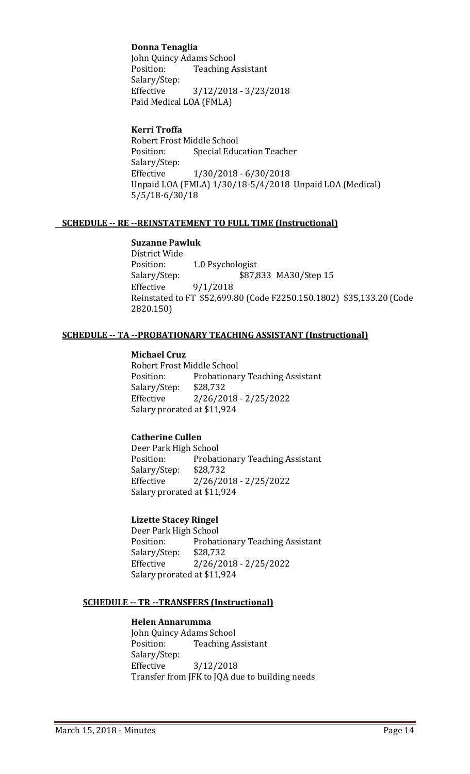# **Donna Tenaglia**

John Quincy Adams School<br>Position: Teaching A **Teaching Assistant** Salary/Step: Effective 3/12/2018 - 3/23/2018 Paid Medical LOA (FMLA)

#### **Kerri Troffa**

Robert Frost Middle School<br>Position: Special Edu **Special Education Teacher** Salary/Step: Effective 1/30/2018 - 6/30/2018 Unpaid LOA (FMLA) 1/30/18-5/4/2018 Unpaid LOA (Medical) 5/5/18-6/30/18

#### **SCHEDULE -- RE --REINSTATEMENT TO FULL TIME (Instructional)**

### **Suzanne Pawluk**

District Wide Position: 1.0 Psychologist<br>Salary/Step: \$87,8 Salary/Step: \$87,833 MA30/Step 15<br>Effective 9/1/2018  $9/1/2018$ Reinstated to FT \$52,699.80 (Code F2250.150.1802) \$35,133.20 (Code 2820.150)

#### **SCHEDULE -- TA --PROBATIONARY TEACHING ASSISTANT (Instructional)**

#### **Michael Cruz**

Robert Frost Middle School<br>Position: Probationar Probationary Teaching Assistant<br>\$28,732 Salary/Step:<br>Effective Effective 2/26/2018 - 2/25/2022 Salary prorated at \$11,924

#### **Catherine Cullen**

Deer Park High School<br>Position: Probat Probationary Teaching Assistant<br>\$28,732 Salary/Step:<br>Effective  $2/26/2018 - 2/25/2022$ Salary prorated at \$11,924

#### **Lizette Stacey Ringel**

Deer Park High School Probationary Teaching Assistant<br>\$28,732 Salary/Step:<br>Effective Effective 2/26/2018 - 2/25/2022 Salary prorated at \$11,924

#### **SCHEDULE -- TR --TRANSFERS (Instructional)**

#### **Helen Annarumma**

John Quincy Adams School<br>Position: Teaching A **Teaching Assistant** Salary/Step: Effective 3/12/2018 Transfer from JFK to JQA due to building needs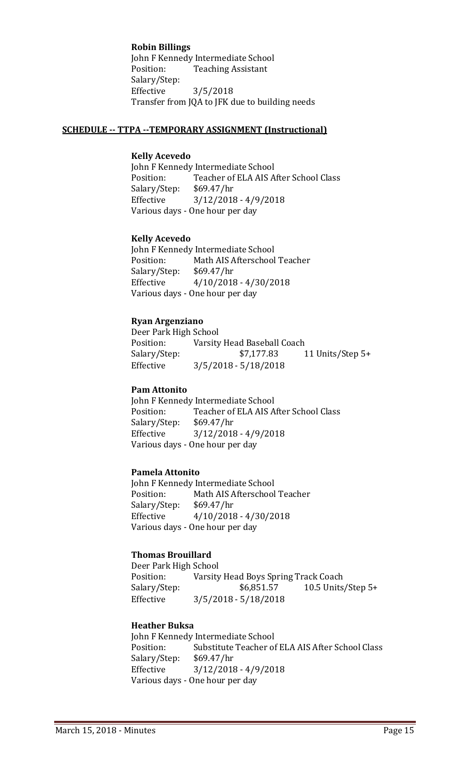**Robin Billings**

John F Kennedy Intermediate School<br>Position: Teaching Assistant **Teaching Assistant** Salary/Step: Effective 3/5/2018 Transfer from JQA to JFK due to building needs

#### **SCHEDULE -- TTPA --TEMPORARY ASSIGNMENT (Instructional)**

#### **Kelly Acevedo**

John F Kennedy Intermediate School<br>Position: Teacher of ELA AIS A Teacher of ELA AIS After School Class<br>\$69.47/hr Salary/Step:<br>Effective  $3/12/2018 - 4/9/2018$ Various days - One hour per day

#### **Kelly Acevedo**

John F Kennedy Intermediate School<br>Position: Math AIS Afterschool Math AIS Afterschool Teacher<br>\$69.47/hr Salary/Step:<br>Effective  $4/10/2018 - 4/30/2018$ Various days - One hour per day

#### **Ryan Argenziano**

Deer Park High School Position: Varsity Head Baseball Coach<br>Salary/Step: \$7,177.83 Salary/Step: \$7,177.83 11 Units/Step 5+<br>Effective 3/5/2018 - 5/18/2018  $3/5/2018 - 5/18/2018$ 

#### **Pam Attonito**

John F Kennedy Intermediate School<br>Position: Teacher of ELA AIS A Teacher of ELA AIS After School Class Salary/Step: \$69.47/hr Effective 3/12/2018 - 4/9/2018 Various days - One hour per day

#### **Pamela Attonito**

John F Kennedy Intermediate School<br>Position: Math AIS Afterschool Math AIS Afterschool Teacher<br>\$69.47/hr Salary/Step: Effective 4/10/2018 - 4/30/2018 Various days - One hour per day

#### **Thomas Brouillard**

Deer Park High School<br>Position: Varsity Position: Varsity Head Boys Spring Track Coach<br>Salary/Step: \$6,851.57 10.5 Units Salary/Step: \$6,851.57 10.5 Units/Step 5+<br>Effective 3/5/2018 - 5/18/2018  $3/5/2018 - 5/18/2018$ 

#### **Heather Buksa**

John F Kennedy Intermediate School<br>Position: Substitute Teacher of Substitute Teacher of ELA AIS After School Class<br>\$69.47/hr Salary/Step:<br>Effective  $3/12/2018 - 4/9/2018$ Various days - One hour per day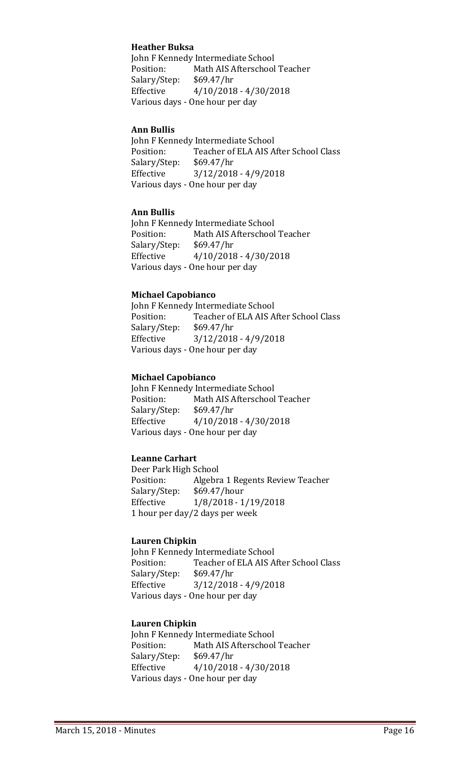#### **Heather Buksa**

John F Kennedy Intermediate School<br>Position: Math AIS Afterschool Math AIS Afterschool Teacher<br>\$69.47/hr Salary/Step: Effective 4/10/2018 - 4/30/2018 Various days - One hour per day

#### **Ann Bullis**

John F Kennedy Intermediate School<br>Position: Teacher of ELA AIS A Teacher of ELA AIS After School Class<br>\$69.47/hr Salary/Step:<br>Effective  $3/12/2018 - 4/9/2018$ Various days - One hour per day

#### **Ann Bullis**

John F Kennedy Intermediate School<br>Position: Math AIS Afterschool Math AIS Afterschool Teacher<br>\$69.47/hr Salary/Step: Effective 4/10/2018 - 4/30/2018 Various days - One hour per day

#### **Michael Capobianco**

John F Kennedy Intermediate School<br>Position: Teacher of ELA AIS A Teacher of ELA AIS After School Class<br>\$69.47/hr Salary/Step: Effective 3/12/2018 - 4/9/2018 Various days - One hour per day

#### **Michael Capobianco**

John F Kennedy Intermediate School<br>Position: Math AIS Afterschool Math AIS Afterschool Teacher<br>\$69.47/hr Salary/Step:<br>Effective  $4/10/2018 - 4/30/2018$ Various days - One hour per day

#### **Leanne Carhart**

Deer Park High School<br>Position: Algebra Algebra 1 Regents Review Teacher<br>\$69.47/hour Salary/Step: Effective 1/8/2018 - 1/19/2018 1 hour per day/2 days per week

#### **Lauren Chipkin**

John F Kennedy Intermediate School<br>Position: Teacher of ELA AIS A Teacher of ELA AIS After School Class<br>\$69.47/hr Salary/Step: Effective 3/12/2018 - 4/9/2018 Various days - One hour per day

#### **Lauren Chipkin**

John F Kennedy Intermediate School<br>Position: Math AIS Afterschool Math AIS Afterschool Teacher<br>\$69.47/hr Salary/Step: Effective 4/10/2018 - 4/30/2018 Various days - One hour per day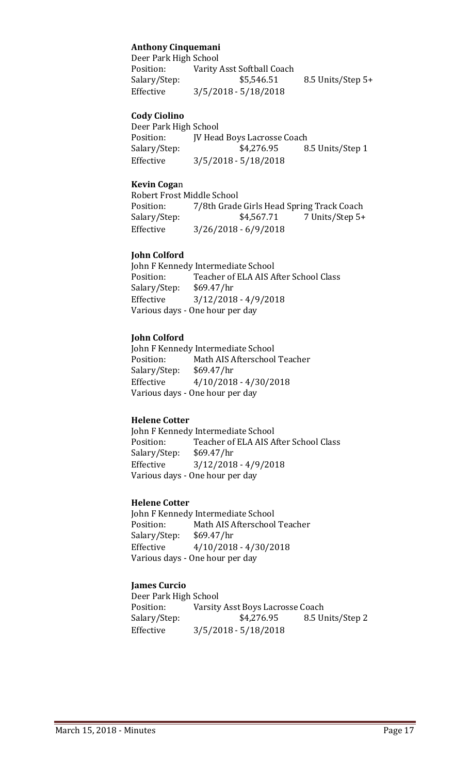# **Anthony Cinquemani**

| Deer Park High School |                            |                   |
|-----------------------|----------------------------|-------------------|
| Position:             | Varity Asst Softball Coach |                   |
| Salary/Step:          | \$5,546.51                 | 8.5 Units/Step 5+ |
| Effective             | $3/5/2018 - 5/18/2018$     |                   |

#### **Cody Ciolino**

Deer Park High School Position: JV Head Boys Lacrosse Coach<br>Salary/Step: \$4,276.95 8 8.5 Units/Step 1 Effective 3/5/2018 - 5/18/2018

#### **Kevin Coga**n

Robert Frost Middle School<br>Position: 7/8th Grade Position: 7/8th Grade Girls Head Spring Track Coach<br>Salary/Step: \$4,567.71 7 Units/Step 5+ 7 Units/Step 5+ Effective 3/26/2018 - 6/9/2018

#### **John Colford**

John F Kennedy Intermediate School<br>Position: Teacher of ELA AIS A Teacher of ELA AIS After School Class<br>\$69.47/hr Salary/Step:<br>Effective  $3/12/2018 - 4/9/2018$ Various days - One hour per day

#### **John Colford**

John F Kennedy Intermediate School<br>Position: Math AIS Afterschool Math AIS Afterschool Teacher<br>\$69.47/hr Salary/Step: Effective 4/10/2018 - 4/30/2018 Various days - One hour per day

#### **Helene Cotter**

John F Kennedy Intermediate School<br>Position: Teacher of ELA AIS A Teacher of ELA AIS After School Class<br>\$69.47/hr Salary/Step: Effective 3/12/2018 - 4/9/2018 Various days - One hour per day

#### **Helene Cotter**

John F Kennedy Intermediate School<br>Position: Math AIS Afterschool Math AIS Afterschool Teacher<br>\$69.47/hr Salary/Step:<br>Effective  $4/10/2018 - 4/30/2018$ Various days - One hour per day

#### **James Curcio**

Deer Park High School<br>Position: Varsity Varsity Asst Boys Lacrosse Coach Salary/Step: \$4,276.95 8.5 Units/Step 2 Effective 3/5/2018 - 5/18/2018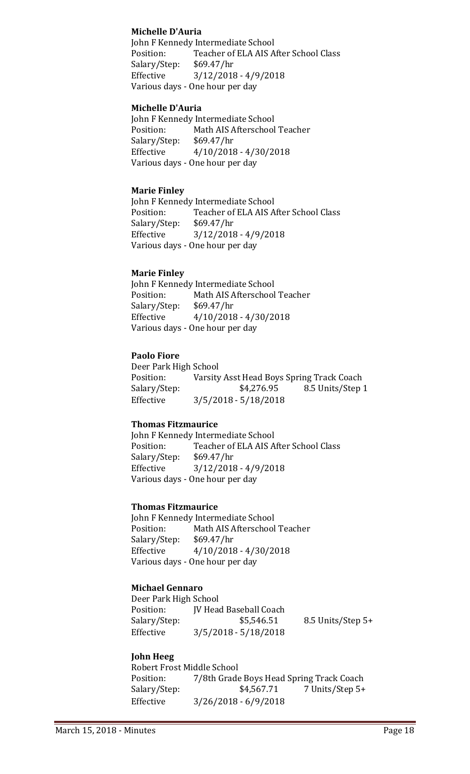#### **Michelle D'Auria**

John F Kennedy Intermediate School<br>Position: Teacher of ELA AIS A Teacher of ELA AIS After School Class<br>\$69.47/hr Salary/Step:<br>Effective Effective 3/12/2018 - 4/9/2018 Various days - One hour per day

#### **Michelle D'Auria**

John F Kennedy Intermediate School<br>Position: Math AIS Afterschool Math AIS Afterschool Teacher<br>\$69.47/hr Salary/Step:<br>Effective  $4/10/2018 - 4/30/2018$ Various days - One hour per day

#### **Marie Finley**

John F Kennedy Intermediate School<br>Position: Teacher of ELA AIS A Teacher of ELA AIS After School Class<br>\$69.47/hr Salary/Step:<br>Effective  $3/12/2018 - 4/9/2018$ Various days - One hour per day

#### **Marie Finley**

John F Kennedy Intermediate School<br>Position: Math AIS Afterschool Math AIS Afterschool Teacher<br>\$69.47/hr Salary/Step: Effective 4/10/2018 - 4/30/2018 Various days - One hour per day

#### **Paolo Fiore**

Deer Park High School<br>Position: Varsity Position: Varsity Asst Head Boys Spring Track Coach<br>Salary/Step: \$4,276.95 8.5 Units/Step Salary/Step: \$4,276.95 8.5 Units/Step 1<br>Effective 3/5/2018 - 5/18/2018 Effective 3/5/2018 - 5/18/2018

#### **Thomas Fitzmaurice**

John F Kennedy Intermediate School<br>Position: Teacher of ELA AIS A Teacher of ELA AIS After School Class<br>\$69.47/hr Salary/Step: Effective 3/12/2018 - 4/9/2018 Various days - One hour per day

#### **Thomas Fitzmaurice**

John F Kennedy Intermediate School<br>Position: Math AIS Afterschool Math AIS Afterschool Teacher<br>\$69.47/hr Salary/Step:<br>Effective  $4/10/2018 - 4/30/2018$ Various days - One hour per day

# **Michael Gennaro**

Deer Park High School<br>Position: [V Head Position: JV Head Baseball Coach<br>Salary/Step: \$5,546.51 8.5 Units/Step 5+ Effective 3/5/2018 - 5/18/2018

#### **John Heeg**

Robert Frost Middle School<br>Position: 7/8th Grade Position: 7/8th Grade Boys Head Spring Track Coach<br>Salary/Step: \$4,567.71 7 Units/Step 5+ 7 Units/Step 5+ Effective 3/26/2018 - 6/9/2018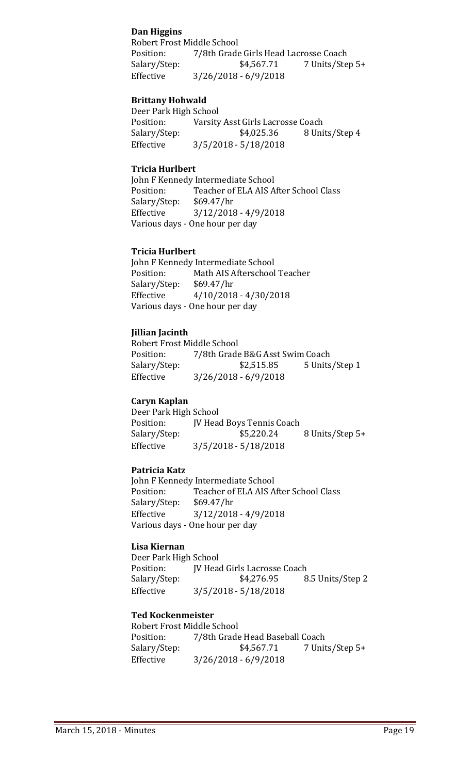#### **Dan Higgins**

Robert Frost Middle School<br>Position: 7/8th Grade Position: 7/8th Grade Girls Head Lacrosse Coach<br>Salary/Step: \$4,567.71 7 Units/Ste 7 Units/Step 5+ Effective 3/26/2018 - 6/9/2018

#### **Brittany Hohwald**

Deer Park High School<br>Position: Varsity Position: Varsity Asst Girls Lacrosse Coach<br>Salary/Step: \$4,025.36 8 Uni 8 Units/Step 4 Effective 3/5/2018 - 5/18/2018

#### **Tricia Hurlbert**

John F Kennedy Intermediate School<br>Position: Teacher of ELA AIS A Teacher of ELA AIS After School Class<br>\$69.47/hr Salary/Step:<br>Effective  $3/12/2018 - 4/9/2018$ Various days - One hour per day

#### **Tricia Hurlbert**

John F Kennedy Intermediate School<br>Position: Math AIS Afterschool Math AIS Afterschool Teacher<br>\$69.47/hr Salary/Step: Effective 4/10/2018 - 4/30/2018 Various days - One hour per day

#### **Jillian Jacinth**

Robert Frost Middle School<br>Position: 7/8th Grade Position: 7/8th Grade B&G Asst Swim Coach<br>Salary/Step: \$2,515.85 5 Units 5 Units/Step 1 Effective 3/26/2018 - 6/9/2018

#### **Caryn Kaplan**

Deer Park High School Position: JV Head Boys Tennis Coach<br>Salary/Step: \$5,220.24 8 Units/Step 5+ Effective 3/5/2018 - 5/18/2018

#### **Patricia Katz**

John F Kennedy Intermediate School<br>Position: Teacher of ELA AIS A Teacher of ELA AIS After School Class<br>\$69.47/hr Salary/Step:<br>Effective  $3/12/2018 - 4/9/2018$ Various days - One hour per day

#### **Lisa Kiernan**

Deer Park High School JV Head Girls Lacrosse Coach Salary/Step: \$4,276.95 8.5 Units/Step 2 Effective 3/5/2018 - 5/18/2018

#### **Ted Kockenmeister**

Robert Frost Middle School<br>Position: 7/8th Grade Position: 7/8th Grade Head Baseball Coach<br>Salary/Step: \$4,567.71 7 Unit 7 Units/Step 5+ Effective 3/26/2018 - 6/9/2018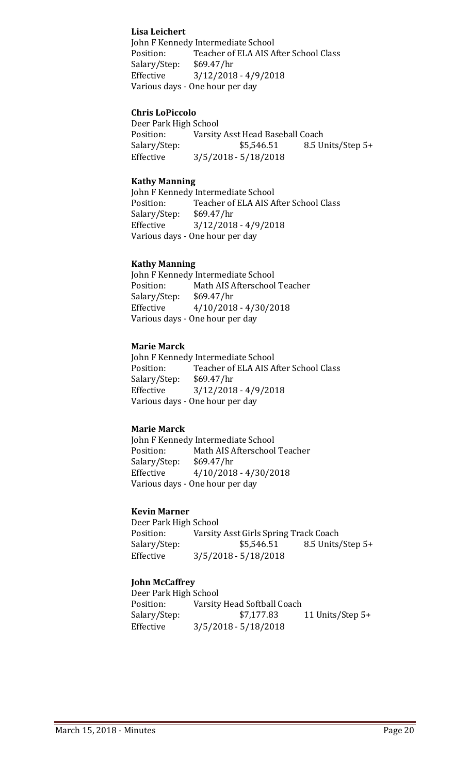#### **Lisa Leichert**

John F Kennedy Intermediate School<br>Position: Teacher of ELA AIS A Teacher of ELA AIS After School Class<br>\$69.47/hr Salary/Step:<br>Effective Effective 3/12/2018 - 4/9/2018 Various days - One hour per day

#### **Chris LoPiccolo**

Deer Park High School<br>Position: Varsity Position: Varsity Asst Head Baseball Coach<br>Salary/Step: \$5,546.51 8.5 U 8.5 Units/Step 5+ Effective 3/5/2018 - 5/18/2018

#### **Kathy Manning**

John F Kennedy Intermediate School<br>Position: Teacher of ELA AIS A Teacher of ELA AIS After School Class<br>\$69.47/hr Salary/Step: Effective 3/12/2018 - 4/9/2018 Various days - One hour per day

#### **Kathy Manning**

John F Kennedy Intermediate School<br>Position: Math AIS Afterschool Math AIS Afterschool Teacher<br>\$69.47/hr Salary/Step:<br>Effective  $4/10/2018 - 4/30/2018$ Various days - One hour per day

#### **Marie Marck**

John F Kennedy Intermediate School<br>Position: Teacher of ELA AIS A Teacher of ELA AIS After School Class<br>\$69.47/hr Salary/Step:<br>Effective  $3/12/2018 - 4/9/2018$ Various days - One hour per day

#### **Marie Marck**

John F Kennedy Intermediate School<br>Position: Math AIS Afterschool Math AIS Afterschool Teacher<br>\$69.47/hr Salary/Step: Effective 4/10/2018 - 4/30/2018 Various days - One hour per day

#### **Kevin Marner**

Deer Park High School<br>Position: Varsity Position: Varsity Asst Girls Spring Track Coach<br>Salary/Step: \$5,546.51 8.5 Units 8.5 Units/Step 5+ Effective 3/5/2018 - 5/18/2018

#### **John McCaffrey**

Deer Park High School<br>Position: Varsity Position: Varsity Head Softball Coach<br>Salary/Step: \$7,177.83 11 Units/Step 5+ Effective 3/5/2018 - 5/18/2018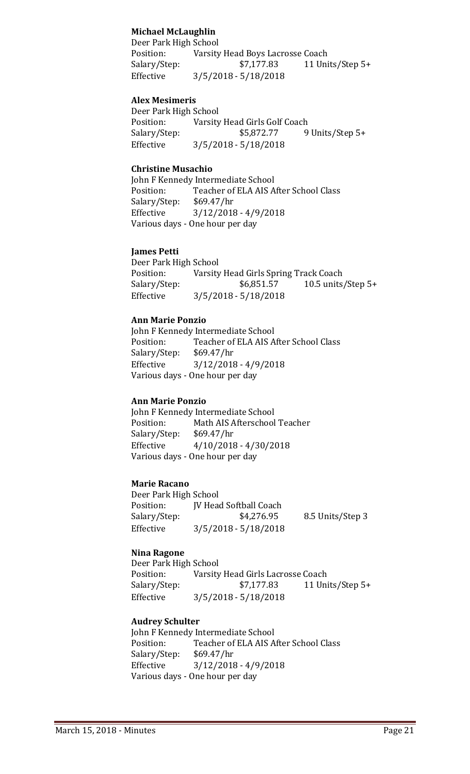### **Michael McLaughlin**

Deer Park High School<br>Position: Varsity Position: Varsity Head Boys Lacrosse Coach<br>Salary/Step: \$7,177.83 11 Uni 11 Units/Step  $5+$ Effective 3/5/2018 - 5/18/2018

#### **Alex Mesimeris**

Deer Park High School<br>Position: Varsity Position: Varsity Head Girls Golf Coach<br>Salary/Step: \$5,872.77 9 9 Units/Step 5+ Effective 3/5/2018 - 5/18/2018

#### **Christine Musachio**

John F Kennedy Intermediate School<br>Position: Teacher of ELA AIS A Teacher of ELA AIS After School Class<br>\$69.47/hr Salary/Step: Effective 3/12/2018 - 4/9/2018 Various days - One hour per day

#### **James Petti**

Deer Park High School<br>Position: Varsity Position: Varsity Head Girls Spring Track Coach<br>Salary/Step: \$6,851.57 10.5 units 10.5 units/Step  $5+$ Effective 3/5/2018 - 5/18/2018

#### **Ann Marie Ponzio**

John F Kennedy Intermediate School<br>Position: Teacher of ELA AIS A Teacher of ELA AIS After School Class<br>\$69.47/hr Salary/Step: Effective 3/12/2018 - 4/9/2018 Various days - One hour per day

#### **Ann Marie Ponzio**

John F Kennedy Intermediate School<br>Position: Math AIS Afterschool Math AIS Afterschool Teacher<br>\$69.47/hr Salary/Step: Effective 4/10/2018 - 4/30/2018 Various days - One hour per day

#### **Marie Racano**

Deer Park High School<br>Position: [V Head Position: JV Head Softball Coach<br>Salary/Step: \$4,276.95 8.5 Units/Step 3 Effective 3/5/2018 - 5/18/2018

#### **Nina Ragone**

Deer Park High School<br>Position: Varsity Position: Varsity Head Girls Lacrosse Coach<br>Salary/Step: \$7,177.83 11 Un Salary/Step: \$7,177.83 11 Units/Step 5+<br>Effective 3/5/2018 - 5/18/2018  $3/5/2018 - 5/18/2018$ 

#### **Audrey Schulter**

John F Kennedy Intermediate School<br>Position: Teacher of ELA AIS A Teacher of ELA AIS After School Class<br>\$69.47/hr Salary/Step: Effective 3/12/2018 - 4/9/2018 Various days - One hour per day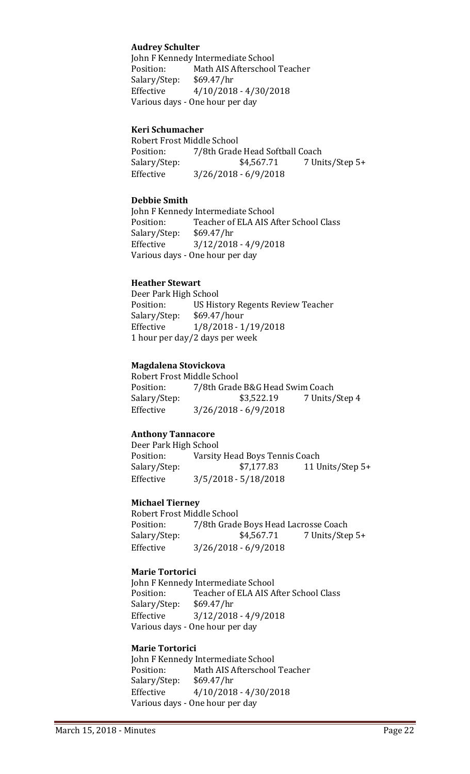#### **Audrey Schulter**

John F Kennedy Intermediate School<br>Position: Math AIS Afterschool Math AIS Afterschool Teacher<br>\$69.47/hr Salary/Step: Effective 4/10/2018 - 4/30/2018 Various days - One hour per day

#### **Keri Schumacher**

Robert Frost Middle School<br>Position: 7/8th Grade Position: 7/8th Grade Head Softball Coach<br>Salary/Step: \$4,567.71 7 Uni Salary/Step: \$4,567.71 7 Units/Step 5+<br>Effective 3/26/2018 - 6/9/2018 Effective 3/26/2018 - 6/9/2018

#### **Debbie Smith**

John F Kennedy Intermediate School<br>Position: Teacher of ELA AIS A Teacher of ELA AIS After School Class<br>\$69.47/hr Salary/Step: Effective 3/12/2018 - 4/9/2018 Various days - One hour per day

#### **Heather Stewart**

Deer Park High School US History Regents Review Teacher<br>\$69.47/hour Salary/Step:<br>Effective Effective 1/8/2018 - 1/19/2018 1 hour per day/2 days per week

#### **Magdalena Stovickova**

Robert Frost Middle School<br>Position: 7/8th Grade Position: 7/8th Grade B&G Head Swim Coach<br>Salary/Step: \$3,522.19 7 Units/ 7 Units/Step 4 Effective 3/26/2018 - 6/9/2018

#### **Anthony Tannacore**

Deer Park High School<br>Position: Varsity Position: Varsity Head Boys Tennis Coach<br>Salary/Step: \$7,177.83 11 U 11 Units/Step 5+ Effective 3/5/2018 - 5/18/2018

#### **Michael Tierney**

Robert Frost Middle School<br>Position: 7/8th Grade Position: 7/8th Grade Boys Head Lacrosse Coach<br>Salary/Step: \$4,567.71 7 Units/Ste 7 Units/Step 5+ Effective 3/26/2018 - 6/9/2018

#### **Marie Tortorici**

John F Kennedy Intermediate School<br>Position: Teacher of ELA AIS A Teacher of ELA AIS After School Class<br>\$69.47/hr Salary/Step: Effective 3/12/2018 - 4/9/2018 Various days - One hour per day

#### **Marie Tortorici**

John F Kennedy Intermediate School<br>Position: Math AIS Afterschool Math AIS Afterschool Teacher<br>\$69.47/hr Salary/Step:<br>Effective  $4/10/2018 - 4/30/2018$ Various days - One hour per day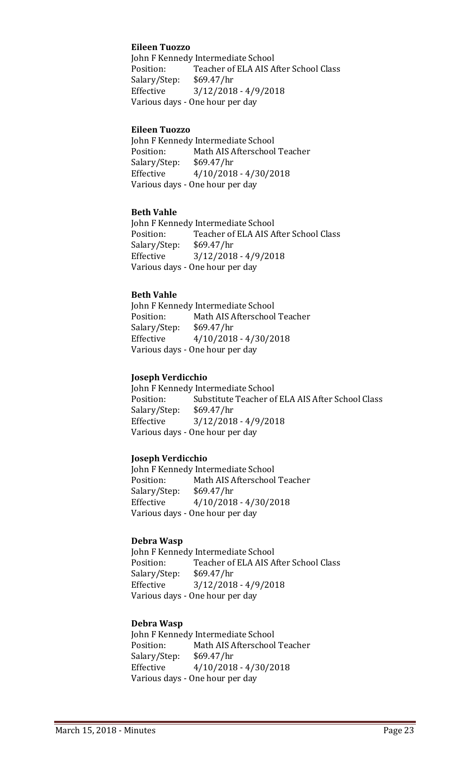#### **Eileen Tuozzo**

John F Kennedy Intermediate School<br>Position: Teacher of ELA AIS A Teacher of ELA AIS After School Class<br>\$69.47/hr Salary/Step: Effective 3/12/2018 - 4/9/2018 Various days - One hour per day

#### **Eileen Tuozzo**

John F Kennedy Intermediate School<br>Position: Math AIS Afterschool Math AIS Afterschool Teacher<br>\$69.47/hr Salary/Step:<br>Effective  $4/10/2018 - 4/30/2018$ Various days - One hour per day

#### **Beth Vahle**

John F Kennedy Intermediate School<br>Position: Teacher of ELA AIS A Teacher of ELA AIS After School Class<br>\$69.47/hr Salary/Step: Effective 3/12/2018 - 4/9/2018 Various days - One hour per day

#### **Beth Vahle**

John F Kennedy Intermediate School<br>Position: Math AIS Afterschool Math AIS Afterschool Teacher<br>\$69.47/hr Salary/Step: Effective 4/10/2018 - 4/30/2018 Various days - One hour per day

#### **Joseph Verdicchio**

John F Kennedy Intermediate School<br>Position: Substitute Teacher of Substitute Teacher of ELA AIS After School Class<br>\$69.47/hr Salary/Step:<br>Effective  $3/12/2018 - 4/9/2018$ Various days - One hour per day

#### **Joseph Verdicchio**

John F Kennedy Intermediate School<br>Position: Math AIS Afterschool Math AIS Afterschool Teacher<br>\$69.47/hr Salary/Step: Effective 4/10/2018 - 4/30/2018 Various days - One hour per day

#### **Debra Wasp**

John F Kennedy Intermediate School<br>Position: Teacher of ELA AIS A Teacher of ELA AIS After School Class<br>\$69.47/hr Salary/Step: Effective 3/12/2018 - 4/9/2018 Various days - One hour per day

#### **Debra Wasp**

John F Kennedy Intermediate School<br>Position: Math AIS Afterschool Math AIS Afterschool Teacher<br>\$69.47/hr Salary/Step: Effective 4/10/2018 - 4/30/2018 Various days - One hour per day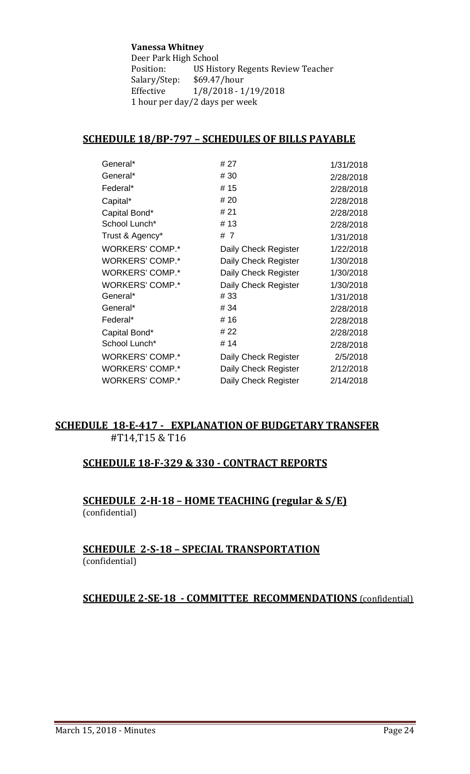#### **Vanessa Whitney**

Deer Park High School<br>Position: US Hist US History Regents Review Teacher Salary/Step: \$69.47/hour<br>Effective 1/8/2018 - 1  $1/8/2018 - 1/19/2018$ 1 hour per day/2 days per week

# **SCHEDULE 18/BP-797 – SCHEDULES OF BILLS PAYABLE**

|                      | 1/31/2018           |
|----------------------|---------------------|
|                      |                     |
|                      | 2/28/2018           |
|                      | 2/28/2018           |
| # 20                 | 2/28/2018           |
| # 21                 | 2/28/2018           |
| #13                  | 2/28/2018           |
| # 7                  | 1/31/2018           |
| Daily Check Register | 1/22/2018           |
| Daily Check Register | 1/30/2018           |
| Daily Check Register | 1/30/2018           |
| Daily Check Register | 1/30/2018           |
| #33                  | 1/31/2018           |
| # 34                 | 2/28/2018           |
| #16                  | 2/28/2018           |
| # 22                 | 2/28/2018           |
| # 14                 | 2/28/2018           |
| Daily Check Register | 2/5/2018            |
| Daily Check Register | 2/12/2018           |
| Daily Check Register | 2/14/2018           |
|                      | # 27<br># 30<br>#15 |

# **SCHEDULE 18-E-417 - EXPLANATION OF BUDGETARY TRANSFER** #T14,T15 & T16

# **SCHEDULE 18-F-329 & 330 - CONTRACT REPORTS**

# **SCHEDULE 2-H-18 – HOME TEACHING (regular & S/E)**  (confidential)

# **SCHEDULE 2-S-18 – SPECIAL TRANSPORTATION**  (confidential)

# **SCHEDULE 2-SE-18 - COMMITTEE RECOMMENDATIONS** (confidential)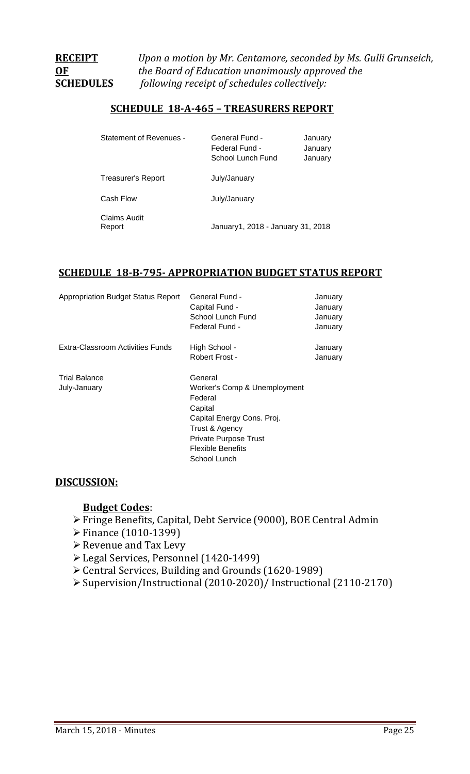**RECEIPT** *Upon a motion by Mr. Centamore, seconded by Ms. Gulli Grunseich,* **OF** *the Board of Education unanimously approved the*  **SCHEDULES** *following receipt of schedules collectively:*

# **SCHEDULE 18-A-465 – TREASURERS REPORT**

| <b>Statement of Revenues -</b> | General Fund -<br>Federal Fund -<br>School Lunch Fund | January<br>January<br>January |
|--------------------------------|-------------------------------------------------------|-------------------------------|
| <b>Treasurer's Report</b>      | July/January                                          |                               |
| Cash Flow                      | July/January                                          |                               |
| <b>Claims Audit</b><br>Report  | January1, 2018 - January 31, 2018                     |                               |

# **SCHEDULE 18-B-795- APPROPRIATION BUDGET STATUS REPORT**

| <b>Appropriation Budget Status Report</b> | General Fund -<br>Capital Fund -<br>School Lunch Fund<br>Federal Fund -                                                                | January<br>January<br>January<br>January |
|-------------------------------------------|----------------------------------------------------------------------------------------------------------------------------------------|------------------------------------------|
| Extra-Classroom Activities Funds          | High School -<br>Robert Frost -                                                                                                        | January<br>January                       |
| <b>Trial Balance</b><br>July-January      | General<br>Worker's Comp & Unemployment<br>Federal<br>Capital<br>Capital Energy Cons. Proj.<br>Trust & Agency<br>Private Purpose Trust |                                          |
|                                           | <b>Flexible Benefits</b><br>School Lunch                                                                                               |                                          |

# **DISCUSSION:**

# **Budget Codes**:

- Fringe Benefits, Capital, Debt Service (9000), BOE Central Admin
- Finance (1010-1399)
- **► Revenue and Tax Levy**
- Legal Services, Personnel (1420-1499)
- Central Services, Building and Grounds (1620-1989)
- Supervision/Instructional (2010-2020)/ Instructional (2110-2170)